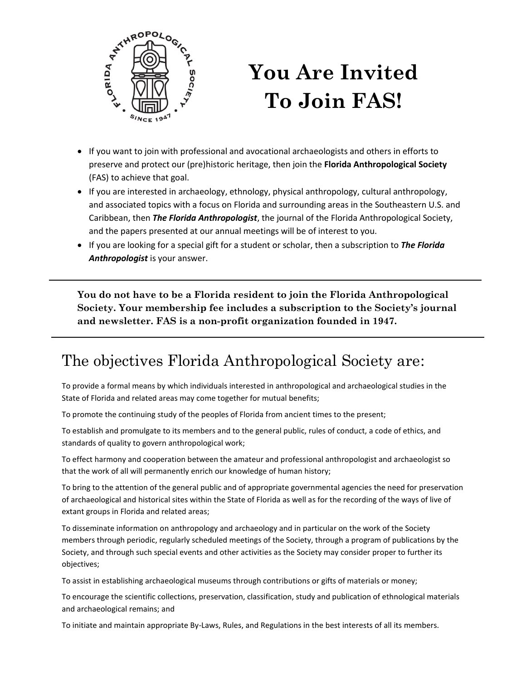

## **You Are Invited To Join FAS!**

- If you want to join with professional and avocational archaeologists and others in efforts to preserve and protect our (pre)historic heritage, then join the **Florida Anthropological Society**  (FAS) to achieve that goal.
- If you are interested in archaeology, ethnology, physical anthropology, cultural anthropology, and associated topics with a focus on Florida and surrounding areas in the Southeastern U.S. and Caribbean, then *The Florida Anthropologist*, the journal of the Florida Anthropological Society, and the papers presented at our annual meetings will be of interest to you.
- If you are looking for a special gift for a student or scholar, then a subscription to *The Florida Anthropologist* is your answer.

**You do not have to be a Florida resident to join the Florida Anthropological Society. Your membership fee includes a subscription to the Society's journal and newsletter. FAS is a non-profit organization founded in 1947.**

## The objectives Florida Anthropological Society are:

To provide a formal means by which individuals interested in anthropological and archaeological studies in the State of Florida and related areas may come together for mutual benefits;

To promote the continuing study of the peoples of Florida from ancient times to the present;

To establish and promulgate to its members and to the general public, rules of conduct, a code of ethics, and standards of quality to govern anthropological work;

To effect harmony and cooperation between the amateur and professional anthropologist and archaeologist so that the work of all will permanently enrich our knowledge of human history;

To bring to the attention of the general public and of appropriate governmental agencies the need for preservation of archaeological and historical sites within the State of Florida as well as for the recording of the ways of live of extant groups in Florida and related areas;

To disseminate information on anthropology and archaeology and in particular on the work of the Society members through periodic, regularly scheduled meetings of the Society, through a program of publications by the Society, and through such special events and other activities as the Society may consider proper to further its objectives;

To assist in establishing archaeological museums through contributions or gifts of materials or money;

To encourage the scientific collections, preservation, classification, study and publication of ethnological materials and archaeological remains; and

To initiate and maintain appropriate By-Laws, Rules, and Regulations in the best interests of all its members.